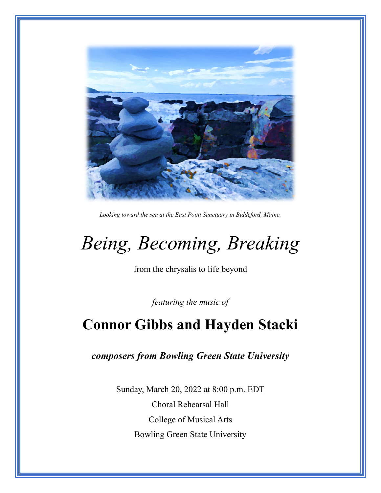

*Looking toward the sea at the East Point Sanctuary in Biddeford, Maine.*

# *Being, Becoming, Breaking*

from the chrysalis to life beyond

*featuring the music of*

# **Connor Gibbs and Hayden Stacki**

*composers from Bowling Green State University*

Sunday, March 20, 2022 at 8:00 p.m. EDT Choral Rehearsal Hall College of Musical Arts Bowling Green State University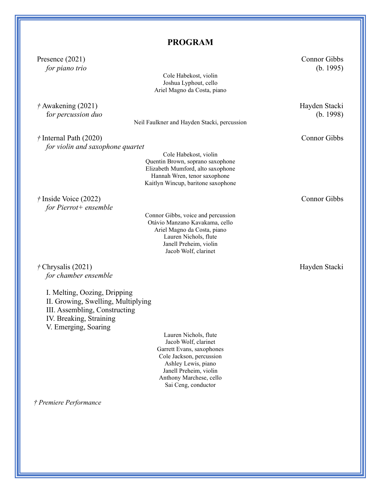# **PROGRAM**

| Presence $(2021)$                  |                                                 | Connor Gibbs        |
|------------------------------------|-------------------------------------------------|---------------------|
| for piano trio                     |                                                 | (b. 1995)           |
|                                    | Cole Habekost, violin<br>Joshua Lyphout, cello  |                     |
|                                    | Ariel Magno da Costa, piano                     |                     |
|                                    |                                                 |                     |
| $\dot{\tau}$ Awakening (2021)      |                                                 | Hayden Stacki       |
| for percussion duo                 |                                                 | (b. 1998)           |
|                                    | Neil Faulkner and Hayden Stacki, percussion     |                     |
| $\dot{\tau}$ Internal Path (2020)  |                                                 | <b>Connor Gibbs</b> |
| for violin and saxophone quartet   |                                                 |                     |
|                                    | Cole Habekost, violin                           |                     |
|                                    | Quentin Brown, soprano saxophone                |                     |
|                                    | Elizabeth Mumford, alto saxophone               |                     |
|                                    | Hannah Wren, tenor saxophone                    |                     |
|                                    | Kaitlyn Wincup, baritone saxophone              |                     |
| $\dot{\tau}$ Inside Voice (2022)   |                                                 | <b>Connor Gibbs</b> |
| for Pierrot + ensemble             |                                                 |                     |
|                                    | Connor Gibbs, voice and percussion              |                     |
|                                    | Otávio Manzano Kavakama, cello                  |                     |
|                                    | Ariel Magno da Costa, piano                     |                     |
|                                    | Lauren Nichols, flute<br>Janell Preheim, violin |                     |
|                                    | Jacob Wolf, clarinet                            |                     |
|                                    |                                                 |                     |
| $\dot{\tau}$ Chrysalis (2021)      |                                                 | Hayden Stacki       |
| for chamber ensemble               |                                                 |                     |
|                                    |                                                 |                     |
| I. Melting, Oozing, Dripping       |                                                 |                     |
| II. Growing, Swelling, Multiplying |                                                 |                     |
| III. Assembling, Constructing      |                                                 |                     |
| IV. Breaking, Straining            |                                                 |                     |
| V. Emerging, Soaring               |                                                 |                     |
|                                    | Lauren Nichols, flute<br>Jacob Wolf, clarinet   |                     |
|                                    | Garrett Evans, saxophones                       |                     |
|                                    | Cole Jackson, percussion                        |                     |
|                                    | Ashley Lewis, piano                             |                     |
|                                    | Janell Preheim, violin                          |                     |
|                                    | Anthony Marchese, cello<br>Sai Ceng, conductor  |                     |
|                                    |                                                 |                     |
|                                    |                                                 |                     |

*† Premiere Performance*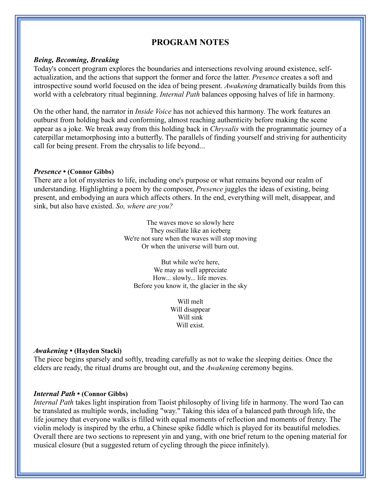## **PROGRAM NOTES**

#### *Being, Becoming, Breaking*

Today's concert program explores the boundaries and intersections revolving around existence, selfactualization, and the actions that support the former and force the latter. *Presence* creates a soft and introspective sound world focused on the idea of being present. *Awakening* dramatically builds from this world with a celebratory ritual beginning. *Internal Path* balances opposing halves of life in harmony.

On the other hand, the narrator in *Inside Voice* has not achieved this harmony. The work features an outburst from holding back and conforming, almost reaching authenticity before making the scene appear as a joke. We break away from this holding back in *Chrysalis* with the programmatic journey of a caterpillar metamorphosing into a butterfly. The parallels of finding yourself and striving for authenticity call for being present. From the chrysalis to life beyond...

#### *Presence* **• (Connor Gibbs)**

There are a lot of mysteries to life, including one's purpose or what remains beyond our realm of understanding. Highlighting a poem by the composer, *Presence* juggles the ideas of existing, being present, and embodying an aura which affects others. In the end, everything will melt, disappear, and sink, but also have existed. *So, where are you?*

> The waves move so slowly here They oscillate like an iceberg We're not sure when the waves will stop moving Or when the universe will burn out.

But while we're here, We may as well appreciate How... slowly... life moves. Before you know it, the glacier in the sky

> Will melt Will disappear Will sink Will exist.

#### *Awakening* **• (Hayden Stacki)**

The piece begins sparsely and softly, treading carefully as not to wake the sleeping deities. Once the elders are ready, the ritual drums are brought out, and the *Awakening* ceremony begins.

#### *Internal Path* **• (Connor Gibbs)**

*Internal Path* takes light inspiration from Taoist philosophy of living life in harmony. The word Tao can be translated as multiple words, including "way." Taking this idea of a balanced path through life, the life journey that everyone walks is filled with equal moments of reflection and moments of frenzy. The violin melody is inspired by the erhu, a Chinese spike fiddle which is played for its beautiful melodies. Overall there are two sections to represent yin and yang, with one brief return to the opening material for musical closure (but a suggested return of cycling through the piece infinitely).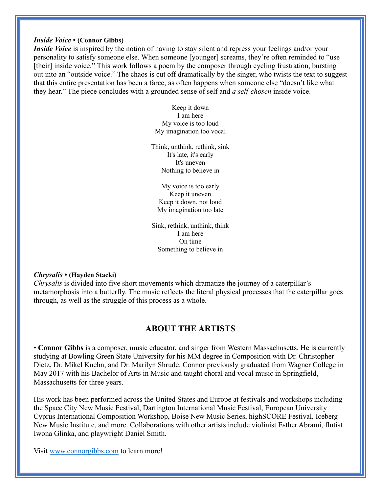#### *Inside Voice* **• (Connor Gibbs)**

*Inside Voice* is inspired by the notion of having to stay silent and repress your feelings and/or your personality to satisfy someone else. When someone [younger] screams, they're often reminded to "use [their] inside voice." This work follows a poem by the composer through cycling frustration, bursting out into an "outside voice." The chaos is cut off dramatically by the singer, who twists the text to suggest that this entire presentation has been a farce, as often happens when someone else "doesn't like what they hear." The piece concludes with a grounded sense of self and *a self-chosen* inside voice.

> Keep it down I am here My voice is too loud My imagination too vocal

Think, unthink, rethink, sink It's late, it's early It's uneven Nothing to believe in

My voice is too early Keep it uneven Keep it down, not loud My imagination too late

Sink, rethink, unthink, think I am here On time Something to believe in

#### *Chrysalis* **• (Hayden Stacki)**

*Chrysalis* is divided into five short movements which dramatize the journey of a caterpillar's metamorphosis into a butterfly. The music reflects the literal physical processes that the caterpillar goes through, as well as the struggle of this process as a whole.

### **ABOUT THE ARTISTS**

• **Connor Gibbs** is a composer, music educator, and singer from Western Massachusetts. He is currently studying at Bowling Green State University for his MM degree in Composition with Dr. Christopher Dietz, Dr. Mikel Kuehn, and Dr. Marilyn Shrude. Connor previously graduated from Wagner College in May 2017 with his Bachelor of Arts in Music and taught choral and vocal music in Springfield, Massachusetts for three years.

His work has been performed across the United States and Europe at festivals and workshops including the Space City New Music Festival, Dartington International Music Festival, European University Cyprus International Composition Workshop, Boise New Music Series, highSCORE Festival, Iceberg New Music Institute, and more. Collaborations with other artists include violinist Esther Abrami, flutist Iwona Glinka, and playwright Daniel Smith.

Visit [www.connorgibbs.com](http://www.connorgibbs.com/) to learn more!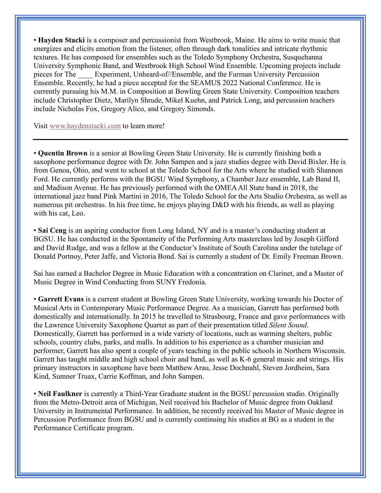• **Hayden Stacki** is a composer and percussionist from Westbrook, Maine. He aims to write music that energizes and elicits emotion from the listener, often through dark tonalities and intricate rhythmic textures. He has composed for ensembles such as the Toledo Symphony Orchestra, Susquehanna University Symphonic Band, and Westbrook High School Wind Ensemble. Upcoming projects include pieces for The Experiment, Unheard-of//Ensemble, and the Furman University Percussion Ensemble. Recently, he had a piece accepted for the SEAMUS 2022 National Conference. He is currently pursuing his M.M. in Composition at Bowling Green State University. Composition teachers include Christopher Dietz, Marilyn Shrude, Mikel Kuehn, and Patrick Long, and percussion teachers include Nicholas Fox, Gregory Alico, and Gregory Simonds.

Visit [www.haydenstacki.com](http://www.haydenstacki.com/) to learn more!

• **Quentin Brown** is a senior at Bowling Green State University. He is currently finishing both a saxophone performance degree with Dr. John Sampen and a jazz studies degree with David Bixler. He is from Genoa, Ohio, and went to school at the Toledo School for the Arts where he studied with Shannon Ford. He currently performs with the BGSU Wind Symphony, a Chamber Jazz ensemble, Lab Band II, and Madison Avenue. He has previously performed with the OMEA All State band in 2018, the international jazz band Pink Martini in 2016, The Toledo School for the Arts Studio Orchestra, as well as numerous pit orchestras. In his free time, he enjoys playing D&D with his friends, as well as playing with his cat, Leo.

• **Sai Ceng** is an aspiring conductor from Long Island, NY and is a master's conducting student at BGSU. He has conducted in the Spontaneity of the Performing Arts masterclass led by Joseph Gifford and David Rudge, and was a fellow at the Conductor's Institute of South Carolina under the tutelage of Donald Portnoy, Peter Jaffe, and Victoria Bond. Sai is currently a student of Dr. Emily Freeman Brown.

Sai has earned a Bachelor Degree in Music Education with a concentration on Clarinet, and a Master of Music Degree in Wind Conducting from SUNY Fredonia.

• **Garrett Evans** is a current student at Bowling Green State University, working towards his Doctor of Musical Arts in Contemporary Music Performance Degree. As a musician, Garrett has performed both domestically and internationally. In 2015 he travelled to Strasbourg, France and gave performances with the Lawrence University Saxophone Quartet as part of their presentation titled *Silent Sound*. Domestically, Garrett has performed in a wide variety of locations, such as warming shelters, public schools, country clubs, parks, and malls. In addition to his experience as a chamber musician and performer, Garrett has also spent a couple of years teaching in the public schools in Northern Wisconsin. Garrett has taught middle and high school choir and band, as well as K-6 general music and strings. His primary instructors in saxophone have been Matthew Arau, Jesse Dochnahl, Steven Jordheim, Sara Kind, Sumner Truax, Carrie Koffman, and John Sampen.

• **Neil Faulkner** is currently a Third-Year Graduate student in the BGSU percussion studio. Originally from the Metro-Detroit area of Michigan, Neil received his Bachelor of Music degree from Oakland University in Instrumental Performance. In addition, he recently received his Master of Music degree in Percussion Performance from BGSU and is currently continuing his studies at BG as a student in the Performance Certificate program.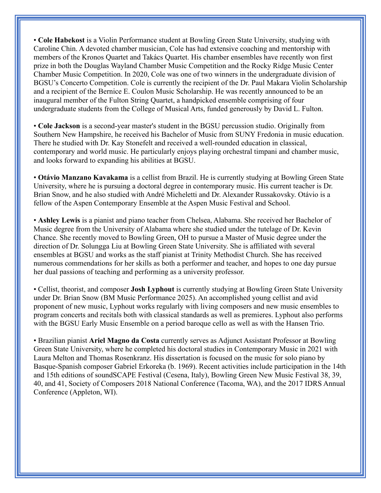• **Cole Habekost** is a Violin Performance student at Bowling Green State University, studying with Caroline Chin. A devoted chamber musician, Cole has had extensive coaching and mentorship with members of the Kronos Quartet and Takács Quartet. His chamber ensembles have recently won first prize in both the Douglas Wayland Chamber Music Competition and the Rocky Ridge Music Center Chamber Music Competition. In 2020, Cole was one of two winners in the undergraduate division of BGSU's Concerto Competition. Cole is currently the recipient of the Dr. Paul Makara Violin Scholarship and a recipient of the Bernice E. Coulon Music Scholarship. He was recently announced to be an inaugural member of the Fulton String Quartet, a handpicked ensemble comprising of four undergraduate students from the College of Musical Arts, funded generously by David L. Fulton.

• **Cole Jackson** is a second-year master's student in the BGSU percussion studio. Originally from Southern New Hampshire, he received his Bachelor of Music from SUNY Fredonia in music education. There he studied with Dr. Kay Stonefelt and received a well-rounded education in classical, contemporary and world music. He particularly enjoys playing orchestral timpani and chamber music, and looks forward to expanding his abilities at BGSU.

• **Otávio Manzano Kavakama** is a cellist from Brazil. He is currently studying at Bowling Green State University, where he is pursuing a doctoral degree in contemporary music. His current teacher is Dr. Brian Snow, and he also studied with André Micheletti and Dr. Alexander Russakovsky. Otávio is a fellow of the Aspen Contemporary Ensemble at the Aspen Music Festival and School.

• **Ashley Lewis** is a pianist and piano teacher from Chelsea, Alabama. She received her Bachelor of Music degree from the University of Alabama where she studied under the tutelage of Dr. Kevin Chance. She recently moved to Bowling Green, OH to pursue a Master of Music degree under the direction of Dr. Solungga Liu at Bowling Green State University. She is affiliated with several ensembles at BGSU and works as the staff pianist at Trinity Methodist Church. She has received numerous commendations for her skills as both a performer and teacher, and hopes to one day pursue her dual passions of teaching and performing as a university professor.

• Cellist, theorist, and composer **Josh Lyphout** is currently studying at Bowling Green State University under Dr. Brian Snow (BM Music Performance 2025). An accomplished young cellist and avid proponent of new music, Lyphout works regularly with living composers and new music ensembles to program concerts and recitals both with classical standards as well as premieres. Lyphout also performs with the BGSU Early Music Ensemble on a period baroque cello as well as with the Hansen Trio.

• Brazilian pianist **Ariel Magno da Costa** currently serves as Adjunct Assistant Professor at Bowling Green State University, where he completed his doctoral studies in Contemporary Music in 2021 with Laura Melton and Thomas Rosenkranz. His dissertation is focused on the music for solo piano by Basque-Spanish composer Gabriel Erkoreka (b. 1969). Recent activities include participation in the 14th and 15th editions of soundSCAPE Festival (Cesena, Italy), Bowling Green New Music Festival 38, 39, 40, and 41, Society of Composers 2018 National Conference (Tacoma, WA), and the 2017 IDRS Annual Conference (Appleton, WI).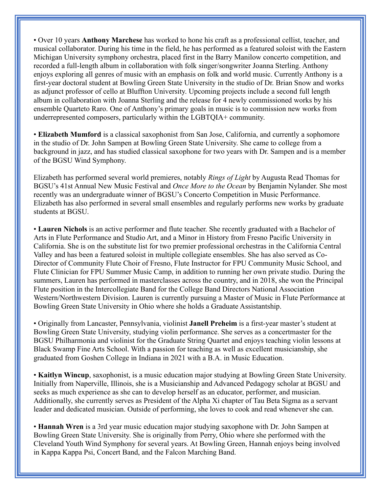• Over 10 years **Anthony Marchese** has worked to hone his craft as a professional cellist, teacher, and musical collaborator. During his time in the field, he has performed as a featured soloist with the Eastern Michigan University symphony orchestra, placed first in the Barry Manilow concerto competition, and recorded a full-length album in collaboration with folk singer/songwriter Joanna Sterling. Anthony enjoys exploring all genres of music with an emphasis on folk and world music. Currently Anthony is a first-year doctoral student at Bowling Green State University in the studio of Dr. Brian Snow and works as adjunct professor of cello at Bluffton University. Upcoming projects include a second full length album in collaboration with Joanna Sterling and the release for 4 newly commissioned works by his ensemble Quarteto Raro. One of Anthony's primary goals in music is to commission new works from underrepresented composers, particularly within the LGBTQIA+ community.

• **Elizabeth Mumford** is a classical saxophonist from San Jose, California, and currently a sophomore in the studio of Dr. John Sampen at Bowling Green State University. She came to college from a background in jazz, and has studied classical saxophone for two years with Dr. Sampen and is a member of the BGSU Wind Symphony.

Elizabeth has performed several world premieres, notably *Rings of Light* by Augusta Read Thomas for BGSU's 41st Annual New Music Festival and *Once More to the Ocean* by Benjamin Nylander. She most recently was an undergraduate winner of BGSU's Concerto Competition in Music Performance. Elizabeth has also performed in several small ensembles and regularly performs new works by graduate students at BGSU.

• **Lauren Nichols** is an active performer and flute teacher. She recently graduated with a Bachelor of Arts in Flute Performance and Studio Art, and a Minor in History from Fresno Pacific University in California. She is on the substitute list for two premier professional orchestras in the California Central Valley and has been a featured soloist in multiple collegiate ensembles. She has also served as Co-Director of Community Flute Choir of Fresno, Flute Instructor for FPU Community Music School, and Flute Clinician for FPU Summer Music Camp, in addition to running her own private studio. During the summers, Lauren has performed in masterclasses across the country, and in 2018, she won the Principal Flute position in the Intercollegiate Band for the College Band Directors National Association Western/Northwestern Division. Lauren is currently pursuing a Master of Music in Flute Performance at Bowling Green State University in Ohio where she holds a Graduate Assistantship.

• Originally from Lancaster, Pennsylvania, violinist **Janell Preheim** is a first-year master's student at Bowling Green State University, studying violin performance. She serves as a concertmaster for the BGSU Philharmonia and violinist for the Graduate String Quartet and enjoys teaching violin lessons at Black Swamp Fine Arts School. With a passion for teaching as well as excellent musicianship, she graduated from Goshen College in Indiana in 2021 with a B.A. in Music Education.

• **Kaitlyn Wincup**, saxophonist, is a music education major studying at Bowling Green State University. Initially from Naperville, Illinois, she is a Musicianship and Advanced Pedagogy scholar at BGSU and seeks as much experience as she can to develop herself as an educator, performer, and musician. Additionally, she currently serves as President of the Alpha Xi chapter of Tau Beta Sigma as a servant leader and dedicated musician. Outside of performing, she loves to cook and read whenever she can.

• **Hannah Wren** is a 3rd year music education major studying saxophone with Dr. John Sampen at Bowling Green State University. She is originally from Perry, Ohio where she performed with the Cleveland Youth Wind Symphony for several years. At Bowling Green, Hannah enjoys being involved in Kappa Kappa Psi, Concert Band, and the Falcon Marching Band.